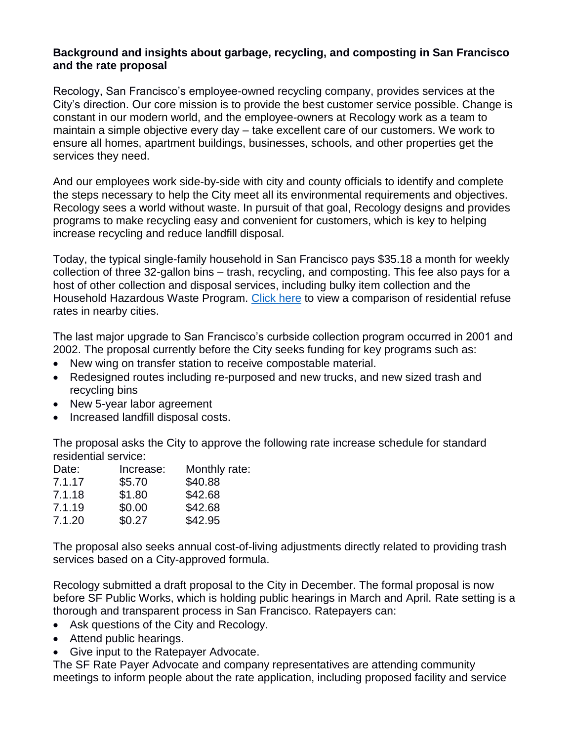## **Background and insights about garbage, recycling, and composting in San Francisco and the rate proposal**

Recology, San Francisco's employee-owned recycling company, provides services at the City's direction. Our core mission is to provide the best customer service possible. Change is constant in our modern world, and the employee-owners at Recology work as a team to maintain a simple objective every day – take excellent care of our customers. We work to ensure all homes, apartment buildings, businesses, schools, and other properties get the services they need.

And our employees work side-by-side with city and county officials to identify and complete the steps necessary to help the City meet all its environmental requirements and objectives. Recology sees a world without waste. In pursuit of that goal, Recology designs and provides programs to make recycling easy and convenient for customers, which is key to helping increase recycling and reduce landfill disposal.

Today, the typical single-family household in San Francisco pays \$35.18 a month for weekly collection of three 32-gallon bins – trash, recycling, and composting. This fee also pays for a host of other collection and disposal services, including bulky item collection and the Household Hazardous Waste Program. [Click here](http://recology.com/sfrates) to view a comparison of residential refuse rates in nearby cities.

The last major upgrade to San Francisco's curbside collection program occurred in 2001 and 2002. The proposal currently before the City seeks funding for key programs such as:

- New wing on transfer station to receive compostable material.
- Redesigned routes including re-purposed and new trucks, and new sized trash and recycling bins
- New 5-year labor agreement
- Increased landfill disposal costs.

The proposal asks the City to approve the following rate increase schedule for standard residential service:

| Date:  | Increase: | Monthly rate: |
|--------|-----------|---------------|
| 7.1.17 | \$5.70    | \$40.88       |
| 7.1.18 | \$1.80    | \$42.68       |
| 7.1.19 | \$0.00    | \$42.68       |
| 7.1.20 | \$0.27    | \$42.95       |
|        |           |               |

The proposal also seeks annual cost-of-living adjustments directly related to providing trash services based on a City-approved formula.

Recology submitted a draft proposal to the City in December. The formal proposal is now before SF Public Works, which is holding public hearings in March and April. Rate setting is a thorough and transparent process in San Francisco. Ratepayers can:

- Ask questions of the City and Recology.
- Attend public hearings.
- Give input to the Ratepayer Advocate.

The SF Rate Payer Advocate and company representatives are attending community meetings to inform people about the rate application, including proposed facility and service